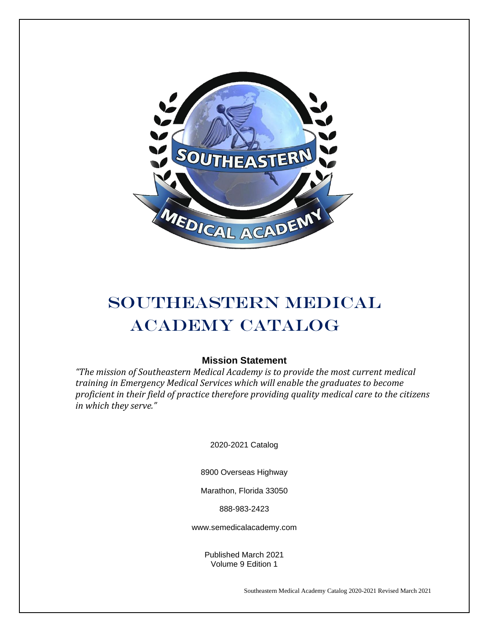

## SOUTHEASTERN MEDICAL Academy Catalog

## **Mission Statement**

*"The mission of Southeastern Medical Academy is to provide the most current medical training in Emergency Medical Services which will enable the graduates to become proficient in their field of practice therefore providing quality medical care to the citizens in which they serve."*

2020-2021 Catalog

8900 Overseas Highway

Marathon, Florida 33050

888-983-2423

www.semedicalacademy.com

Published March 2021 Volume 9 Edition 1

Southeastern Medical Academy Catalog 2020-2021 Revised March 2021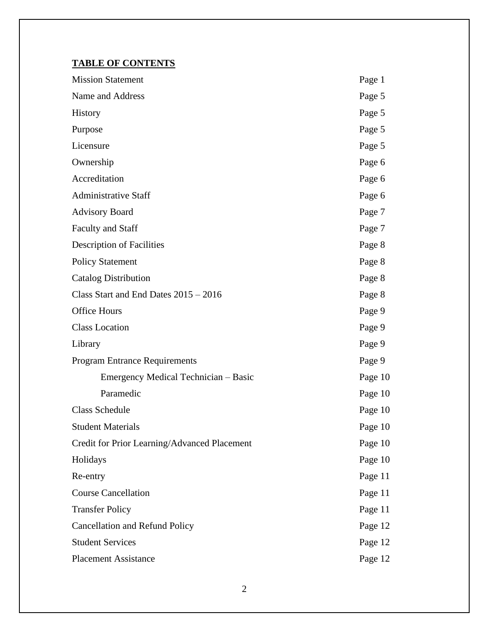## **TABLE OF CONTENTS**

| <b>Mission Statement</b>                     | Page 1  |
|----------------------------------------------|---------|
| Name and Address                             | Page 5  |
| <b>History</b>                               | Page 5  |
| Purpose                                      | Page 5  |
| Licensure                                    | Page 5  |
| Ownership                                    | Page 6  |
| Accreditation                                | Page 6  |
| <b>Administrative Staff</b>                  | Page 6  |
| <b>Advisory Board</b>                        | Page 7  |
| <b>Faculty and Staff</b>                     | Page 7  |
| <b>Description of Facilities</b>             | Page 8  |
| <b>Policy Statement</b>                      | Page 8  |
| <b>Catalog Distribution</b>                  | Page 8  |
| Class Start and End Dates 2015 - 2016        | Page 8  |
| <b>Office Hours</b>                          | Page 9  |
| <b>Class Location</b>                        | Page 9  |
| Library                                      | Page 9  |
| <b>Program Entrance Requirements</b>         | Page 9  |
| Emergency Medical Technician - Basic         | Page 10 |
| Paramedic                                    | Page 10 |
| <b>Class Schedule</b>                        | Page 10 |
| <b>Student Materials</b>                     | Page 10 |
| Credit for Prior Learning/Advanced Placement | Page 10 |
| Holidays                                     | Page 10 |
| Re-entry                                     | Page 11 |
| <b>Course Cancellation</b>                   | Page 11 |
| <b>Transfer Policy</b>                       | Page 11 |
| <b>Cancellation and Refund Policy</b>        | Page 12 |
| <b>Student Services</b>                      | Page 12 |
| <b>Placement Assistance</b>                  | Page 12 |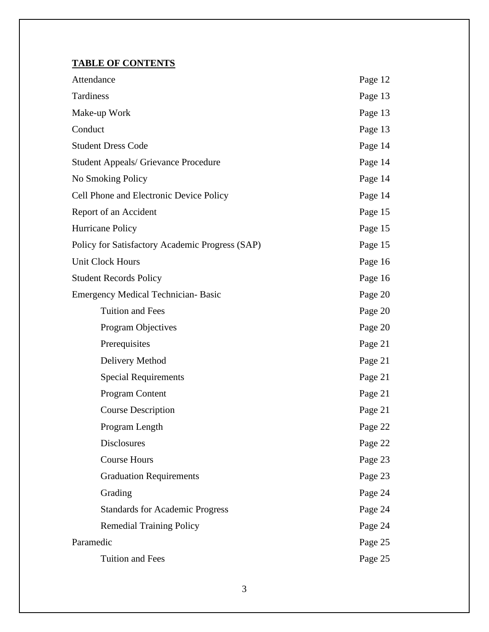## **TABLE OF CONTENTS**

| Attendance                                      | Page 12 |
|-------------------------------------------------|---------|
| Tardiness                                       | Page 13 |
| Make-up Work                                    | Page 13 |
| Conduct                                         | Page 13 |
| <b>Student Dress Code</b>                       | Page 14 |
| <b>Student Appeals/ Grievance Procedure</b>     | Page 14 |
| No Smoking Policy                               | Page 14 |
| Cell Phone and Electronic Device Policy         | Page 14 |
| Report of an Accident                           | Page 15 |
| Hurricane Policy                                | Page 15 |
| Policy for Satisfactory Academic Progress (SAP) | Page 15 |
| <b>Unit Clock Hours</b>                         | Page 16 |
| <b>Student Records Policy</b>                   | Page 16 |
| <b>Emergency Medical Technician-Basic</b>       | Page 20 |
| <b>Tuition and Fees</b>                         | Page 20 |
| Program Objectives                              | Page 20 |
| Prerequisites                                   | Page 21 |
| Delivery Method                                 | Page 21 |
| <b>Special Requirements</b>                     | Page 21 |
| Program Content                                 | Page 21 |
| <b>Course Description</b>                       | Page 21 |
| Program Length                                  | Page 22 |
| <b>Disclosures</b>                              | Page 22 |
| <b>Course Hours</b>                             | Page 23 |
| <b>Graduation Requirements</b>                  | Page 23 |
| Grading                                         | Page 24 |
| <b>Standards for Academic Progress</b>          | Page 24 |
| <b>Remedial Training Policy</b>                 | Page 24 |
| Paramedic                                       | Page 25 |
| <b>Tuition and Fees</b>                         | Page 25 |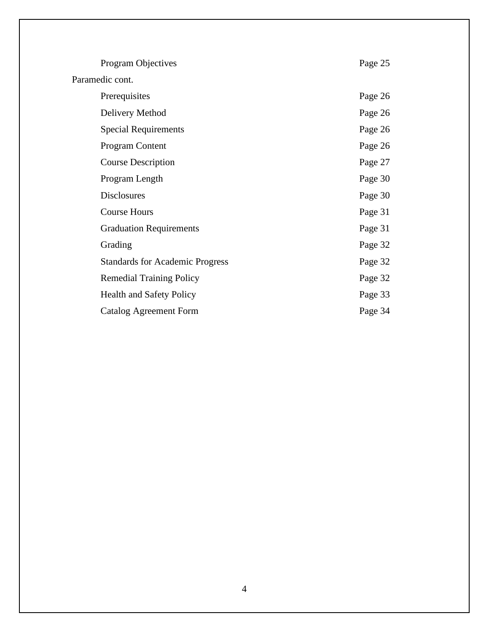| Program Objectives                     | Page 25 |
|----------------------------------------|---------|
| Paramedic cont.                        |         |
| Prerequisites                          | Page 26 |
| Delivery Method                        | Page 26 |
| <b>Special Requirements</b>            | Page 26 |
| Program Content                        | Page 26 |
| <b>Course Description</b>              | Page 27 |
| Program Length                         | Page 30 |
| <b>Disclosures</b>                     | Page 30 |
| <b>Course Hours</b>                    | Page 31 |
| <b>Graduation Requirements</b>         | Page 31 |
| Grading                                | Page 32 |
| <b>Standards for Academic Progress</b> | Page 32 |
| <b>Remedial Training Policy</b>        | Page 32 |
| <b>Health and Safety Policy</b>        | Page 33 |
| Catalog Agreement Form                 | Page 34 |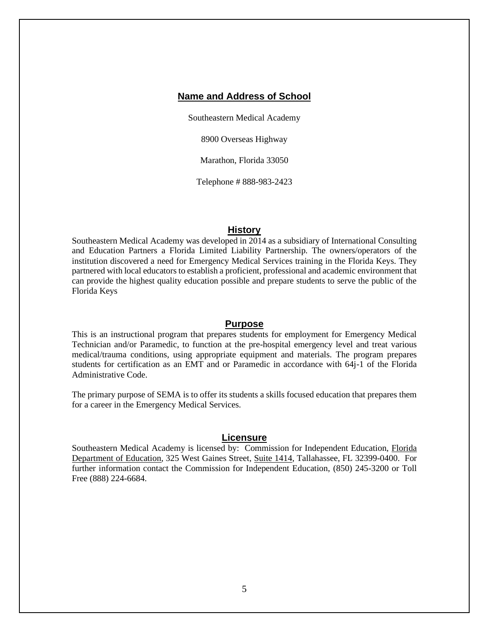## **Name and Address of School**

Southeastern Medical Academy

8900 Overseas Highway

Marathon, Florida 33050

Telephone # 888-983-2423

#### **History**

Southeastern Medical Academy was developed in 2014 as a subsidiary of International Consulting and Education Partners a Florida Limited Liability Partnership. The owners/operators of the institution discovered a need for Emergency Medical Services training in the Florida Keys. They partnered with local educators to establish a proficient, professional and academic environment that can provide the highest quality education possible and prepare students to serve the public of the Florida Keys

#### **Purpose**

This is an instructional program that prepares students for employment for Emergency Medical Technician and/or Paramedic, to function at the pre-hospital emergency level and treat various medical/trauma conditions, using appropriate equipment and materials. The program prepares students for certification as an EMT and or Paramedic in accordance with 64j-1 of the Florida Administrative Code.

The primary purpose of SEMA is to offer its students a skills focused education that prepares them for a career in the Emergency Medical Services.

#### **Licensure**

Southeastern Medical Academy is licensed by: Commission for Independent Education, Florida Department of Education, 325 West Gaines Street, Suite 1414, Tallahassee, FL 32399-0400. For further information contact the Commission for Independent Education, (850) 245-3200 or Toll Free (888) 224-6684.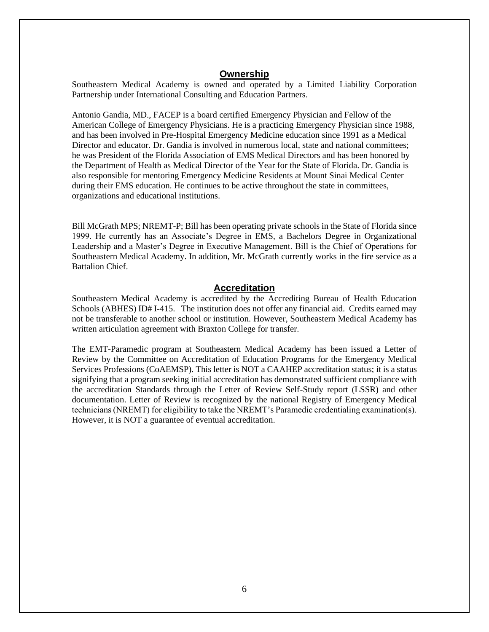## **Ownership**

Southeastern Medical Academy is owned and operated by a Limited Liability Corporation Partnership under International Consulting and Education Partners.

Antonio Gandia, MD., FACEP is a board certified Emergency Physician and Fellow of the American College of Emergency Physicians. He is a practicing Emergency Physician since 1988, and has been involved in Pre-Hospital Emergency Medicine education since 1991 as a Medical Director and educator. Dr. Gandia is involved in numerous local, state and national committees; he was President of the Florida Association of EMS Medical Directors and has been honored by the Department of Health as Medical Director of the Year for the State of Florida. Dr. Gandia is also responsible for mentoring Emergency Medicine Residents at Mount Sinai Medical Center during their EMS education. He continues to be active throughout the state in committees, organizations and educational institutions.

Bill McGrath MPS; NREMT-P; Bill has been operating private schools in the State of Florida since 1999. He currently has an Associate's Degree in EMS, a Bachelors Degree in Organizational Leadership and a Master's Degree in Executive Management. Bill is the Chief of Operations for Southeastern Medical Academy. In addition, Mr. McGrath currently works in the fire service as a Battalion Chief.

#### **Accreditation**

Southeastern Medical Academy is accredited by the Accrediting Bureau of Health Education Schools (ABHES) ID# I-415. The institution does not offer any financial aid. Credits earned may not be transferable to another school or institution. However, Southeastern Medical Academy has written articulation agreement with Braxton College for transfer.

The EMT-Paramedic program at Southeastern Medical Academy has been issued a Letter of Review by the Committee on Accreditation of Education Programs for the Emergency Medical Services Professions (CoAEMSP). This letter is NOT a CAAHEP accreditation status; it is a status signifying that a program seeking initial accreditation has demonstrated sufficient compliance with the accreditation Standards through the Letter of Review Self-Study report (LSSR) and other documentation. Letter of Review is recognized by the national Registry of Emergency Medical technicians (NREMT) for eligibility to take the NREMT's Paramedic credentialing examination(s). However, it is NOT a guarantee of eventual accreditation.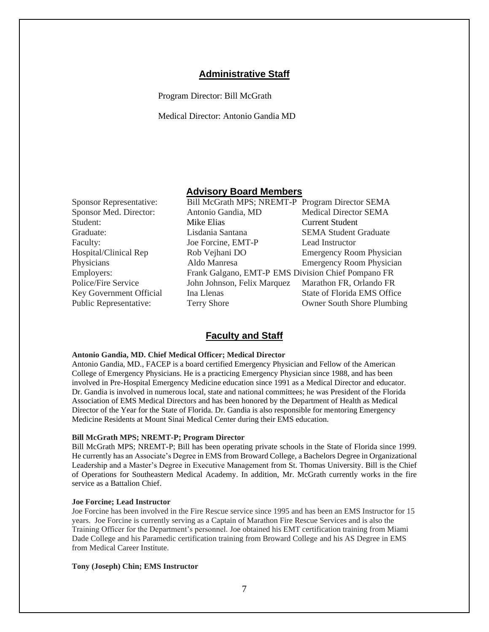## **Administrative Staff**

Program Director: Bill McGrath

Medical Director: Antonio Gandia MD

## **Advisory Board Members**

| <b>Sponsor Representative:</b> | Bill McGrath MPS; NREMT-P Program Director SEMA    |                                 |
|--------------------------------|----------------------------------------------------|---------------------------------|
| Sponsor Med. Director:         | Antonio Gandia, MD                                 | <b>Medical Director SEMA</b>    |
| Student:                       | Mike Elias                                         | <b>Current Student</b>          |
| Graduate:                      | Lisdania Santana                                   | <b>SEMA Student Graduate</b>    |
| Faculty:                       | Joe Forcine, EMT-P                                 | Lead Instructor                 |
| Hospital/Clinical Rep          | Rob Vejhani DO                                     | <b>Emergency Room Physician</b> |
| Physicians                     | Aldo Manresa                                       | <b>Emergency Room Physician</b> |
| Employers:                     | Frank Galgano, EMT-P EMS Division Chief Pompano FR |                                 |
| Police/Fire Service            | John Johnson, Felix Marquez                        | Marathon FR, Orlando FR         |
| <b>Key Government Official</b> | Ina Llenas                                         | State of Florida EMS Office     |
| Public Representative:         | <b>Terry Shore</b>                                 | Owner South Shore Plumbing      |

#### **Faculty and Staff**

#### **Antonio Gandia, MD. Chief Medical Officer; Medical Director**

Antonio Gandia, MD., FACEP is a board certified Emergency Physician and Fellow of the American College of Emergency Physicians. He is a practicing Emergency Physician since 1988, and has been involved in Pre-Hospital Emergency Medicine education since 1991 as a Medical Director and educator. Dr. Gandia is involved in numerous local, state and national committees; he was President of the Florida Association of EMS Medical Directors and has been honored by the Department of Health as Medical Director of the Year for the State of Florida. Dr. Gandia is also responsible for mentoring Emergency Medicine Residents at Mount Sinai Medical Center during their EMS education.

#### **Bill McGrath MPS; NREMT-P; Program Director**

Bill McGrath MPS; NREMT-P; Bill has been operating private schools in the State of Florida since 1999. He currently has an Associate's Degree in EMS from Broward College, a Bachelors Degree in Organizational Leadership and a Master's Degree in Executive Management from St. Thomas University. Bill is the Chief of Operations for Southeastern Medical Academy. In addition, Mr. McGrath currently works in the fire service as a Battalion Chief.

#### **Joe Forcine; Lead Instructor**

Joe Forcine has been involved in the Fire Rescue service since 1995 and has been an EMS Instructor for 15 years. Joe Forcine is currently serving as a Captain of Marathon Fire Rescue Services and is also the Training Officer for the Department's personnel. Joe obtained his EMT certification training from Miami Dade College and his Paramedic certification training from Broward College and his AS Degree in EMS from Medical Career Institute.

#### **Tony (Joseph) Chin; EMS Instructor**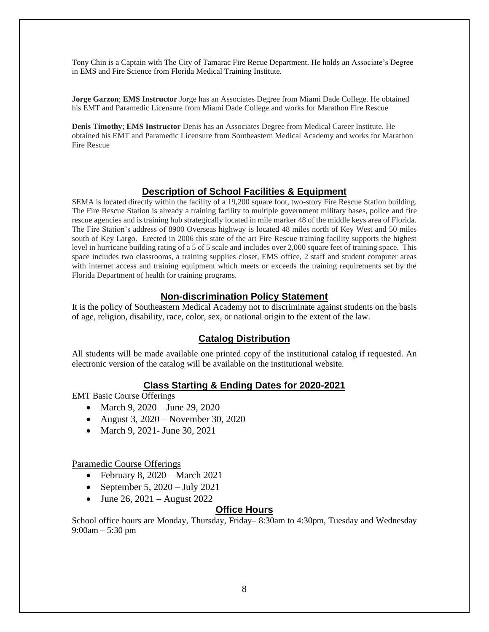Tony Chin is a Captain with The City of Tamarac Fire Recue Department. He holds an Associate's Degree in EMS and Fire Science from Florida Medical Training Institute.

**Jorge Garzon**; **EMS Instructor** Jorge has an Associates Degree from Miami Dade College. He obtained his EMT and Paramedic Licensure from Miami Dade College and works for Marathon Fire Rescue

**Denis Timothy**; **EMS Instructor** Denis has an Associates Degree from Medical Career Institute. He obtained his EMT and Paramedic Licensure from Southeastern Medical Academy and works for Marathon Fire Rescue

#### **Description of School Facilities & Equipment**

SEMA is located directly within the facility of a 19,200 square foot, two-story Fire Rescue Station building. The Fire Rescue Station is already a training facility to multiple government military bases, police and fire rescue agencies and is training hub strategically located in mile marker 48 of the middle keys area of Florida. The Fire Station's address of 8900 Overseas highway is located 48 miles north of Key West and 50 miles south of Key Largo. Erected in 2006 this state of the art Fire Rescue training facility supports the highest level in hurricane building rating of a 5 of 5 scale and includes over 2,000 square feet of training space. This space includes two classrooms, a training supplies closet, EMS office, 2 staff and student computer areas with internet access and training equipment which meets or exceeds the training requirements set by the Florida Department of health for training programs.

#### **Non-discrimination Policy Statement**

It is the policy of Southeastern Medical Academy not to discriminate against students on the basis of age, religion, disability, race, color, sex, or national origin to the extent of the law.

## **Catalog Distribution**

All students will be made available one printed copy of the institutional catalog if requested. An electronic version of the catalog will be available on the institutional website.

## **Class Starting & Ending Dates for 2020-2021**

EMT Basic Course Offerings

- March 9, 2020 June 29, 2020
- August 3, 2020 November 30, 2020
- March 9, 2021 June 30, 2021

#### Paramedic Course Offerings

- February 8,  $2020 March 2021$
- September 5,  $2020 \text{July } 2021$
- June 26, 2021 August 2022

#### **Office Hours**

School office hours are Monday, Thursday, Friday– 8:30am to 4:30pm, Tuesday and Wednesday 9:00am – 5:30 pm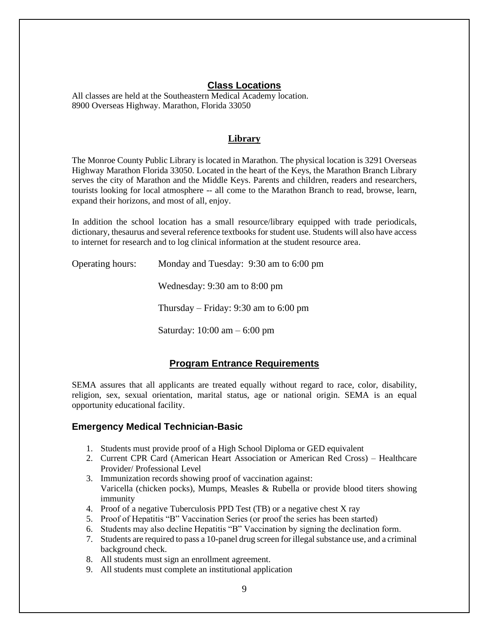## **Class Locations**

All classes are held at the Southeastern Medical Academy location. 8900 Overseas Highway. Marathon, Florida 33050

## **Library**

The Monroe County Public Library is located in Marathon. The physical location is 3291 Overseas Highway Marathon Florida 33050. Located in the heart of the Keys, the Marathon Branch Library serves the city of Marathon and the Middle Keys. Parents and children, readers and researchers, tourists looking for local atmosphere -- all come to the Marathon Branch to read, browse, learn, expand their horizons, and most of all, enjoy.

In addition the school location has a small resource/library equipped with trade periodicals, dictionary, thesaurus and several reference textbooks for student use. Students will also have access to internet for research and to log clinical information at the student resource area.

Operating hours: Monday and Tuesday: 9:30 am to 6:00 pm

Wednesday: 9:30 am to 8:00 pm

Thursday – Friday: 9:30 am to 6:00 pm

Saturday: 10:00 am – 6:00 pm

## **Program Entrance Requirements**

SEMA assures that all applicants are treated equally without regard to race, color, disability, religion, sex, sexual orientation, marital status, age or national origin. SEMA is an equal opportunity educational facility.

#### **Emergency Medical Technician-Basic**

- 1. Students must provide proof of a High School Diploma or GED equivalent
- 2. Current CPR Card (American Heart Association or American Red Cross) Healthcare Provider/ Professional Level
- 3. Immunization records showing proof of vaccination against: Varicella (chicken pocks), Mumps, Measles & Rubella or provide blood titers showing immunity
- 4. Proof of a negative Tuberculosis PPD Test (TB) or a negative chest X ray
- 5. Proof of Hepatitis "B" Vaccination Series (or proof the series has been started)
- 6. Students may also decline Hepatitis "B" Vaccination by signing the declination form.
- 7. Students are required to pass a 10-panel drug screen for illegal substance use, and a criminal background check.
- 8. All students must sign an enrollment agreement.
- 9. All students must complete an institutional application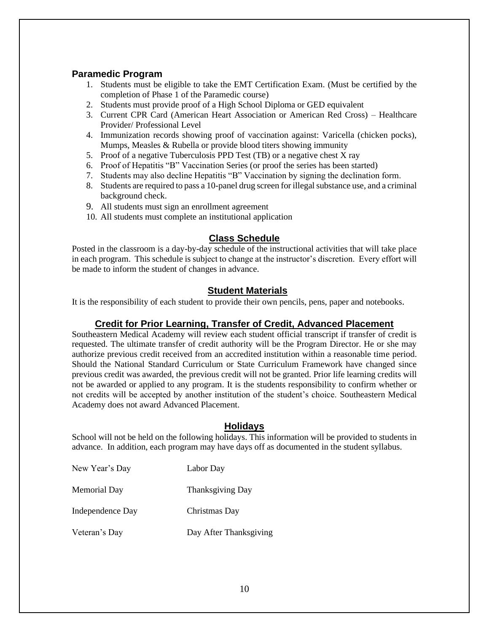## **Paramedic Program**

- 1. Students must be eligible to take the EMT Certification Exam. (Must be certified by the completion of Phase 1 of the Paramedic course)
- 2. Students must provide proof of a High School Diploma or GED equivalent
- 3. Current CPR Card (American Heart Association or American Red Cross) Healthcare Provider/ Professional Level
- 4. Immunization records showing proof of vaccination against: Varicella (chicken pocks), Mumps, Measles & Rubella or provide blood titers showing immunity
- 5. Proof of a negative Tuberculosis PPD Test (TB) or a negative chest X ray
- 6. Proof of Hepatitis "B" Vaccination Series (or proof the series has been started)
- 7. Students may also decline Hepatitis "B" Vaccination by signing the declination form.
- 8. Students are required to pass a 10-panel drug screen for illegal substance use, and a criminal background check.
- 9. All students must sign an enrollment agreement
- 10. All students must complete an institutional application

## **Class Schedule**

Posted in the classroom is a day-by-day schedule of the instructional activities that will take place in each program. This schedule is subject to change at the instructor's discretion. Every effort will be made to inform the student of changes in advance.

## **Student Materials**

It is the responsibility of each student to provide their own pencils, pens, paper and notebooks.

## **Credit for Prior Learning, Transfer of Credit, Advanced Placement**

Southeastern Medical Academy will review each student official transcript if transfer of credit is requested. The ultimate transfer of credit authority will be the Program Director. He or she may authorize previous credit received from an accredited institution within a reasonable time period. Should the National Standard Curriculum or State Curriculum Framework have changed since previous credit was awarded, the previous credit will not be granted. Prior life learning credits will not be awarded or applied to any program. It is the students responsibility to confirm whether or not credits will be accepted by another institution of the student's choice. Southeastern Medical Academy does not award Advanced Placement.

## **Holidays**

School will not be held on the following holidays. This information will be provided to students in advance. In addition, each program may have days off as documented in the student syllabus.

| New Year's Day   | Labor Day              |
|------------------|------------------------|
| Memorial Day     | Thanksgiving Day       |
| Independence Day | Christmas Day          |
| Veteran's Day    | Day After Thanksgiving |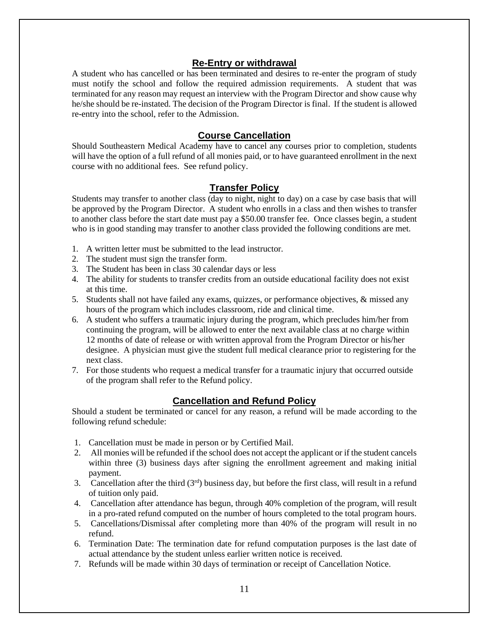## **Re-Entry or withdrawal**

A student who has cancelled or has been terminated and desires to re-enter the program of study must notify the school and follow the required admission requirements. A student that was terminated for any reason may request an interview with the Program Director and show cause why he/she should be re-instated. The decision of the Program Director is final. If the student is allowed re-entry into the school, refer to the Admission.

## **Course Cancellation**

Should Southeastern Medical Academy have to cancel any courses prior to completion, students will have the option of a full refund of all monies paid, or to have guaranteed enrollment in the next course with no additional fees. See refund policy.

## **Transfer Policy**

Students may transfer to another class (day to night, night to day) on a case by case basis that will be approved by the Program Director. A student who enrolls in a class and then wishes to transfer to another class before the start date must pay a \$50.00 transfer fee. Once classes begin, a student who is in good standing may transfer to another class provided the following conditions are met.

- 1. A written letter must be submitted to the lead instructor.
- 2. The student must sign the transfer form.
- 3. The Student has been in class 30 calendar days or less
- 4. The ability for students to transfer credits from an outside educational facility does not exist at this time.
- 5. Students shall not have failed any exams, quizzes, or performance objectives, & missed any hours of the program which includes classroom, ride and clinical time.
- 6. A student who suffers a traumatic injury during the program, which precludes him/her from continuing the program, will be allowed to enter the next available class at no charge within 12 months of date of release or with written approval from the Program Director or his/her designee. A physician must give the student full medical clearance prior to registering for the next class.
- 7. For those students who request a medical transfer for a traumatic injury that occurred outside of the program shall refer to the Refund policy.

## **Cancellation and Refund Policy**

Should a student be terminated or cancel for any reason, a refund will be made according to the following refund schedule:

- 1. Cancellation must be made in person or by Certified Mail.
- 2. All monies will be refunded if the school does not accept the applicant or if the student cancels within three (3) business days after signing the enrollment agreement and making initial payment.
- 3. Cancellation after the third  $(3<sup>rd</sup>)$  business day, but before the first class, will result in a refund of tuition only paid.
- 4. Cancellation after attendance has begun, through 40% completion of the program, will result in a pro-rated refund computed on the number of hours completed to the total program hours.
- 5. Cancellations/Dismissal after completing more than 40% of the program will result in no refund.
- 6. Termination Date: The termination date for refund computation purposes is the last date of actual attendance by the student unless earlier written notice is received.
- 7. Refunds will be made within 30 days of termination or receipt of Cancellation Notice.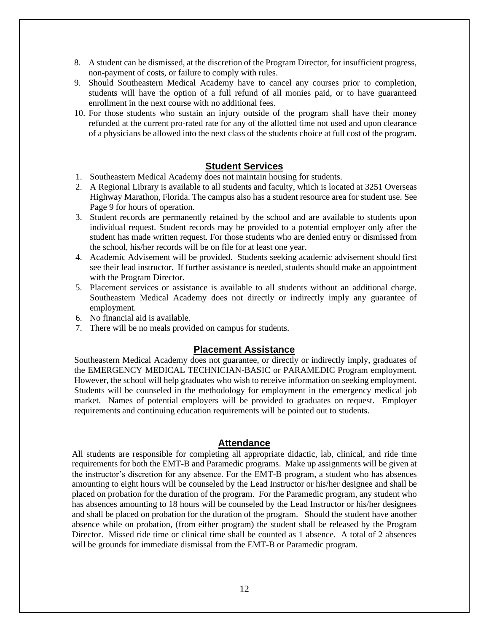- 8. A student can be dismissed, at the discretion of the Program Director, for insufficient progress, non-payment of costs, or failure to comply with rules.
- 9. Should Southeastern Medical Academy have to cancel any courses prior to completion, students will have the option of a full refund of all monies paid, or to have guaranteed enrollment in the next course with no additional fees.
- 10. For those students who sustain an injury outside of the program shall have their money refunded at the current pro-rated rate for any of the allotted time not used and upon clearance of a physicians be allowed into the next class of the students choice at full cost of the program.

## **Student Services**

- 1. Southeastern Medical Academy does not maintain housing for students.
- 2. A Regional Library is available to all students and faculty, which is located at 3251 Overseas Highway Marathon, Florida. The campus also has a student resource area for student use. See Page 9 for hours of operation.
- 3. Student records are permanently retained by the school and are available to students upon individual request. Student records may be provided to a potential employer only after the student has made written request. For those students who are denied entry or dismissed from the school, his/her records will be on file for at least one year.
- 4. Academic Advisement will be provided. Students seeking academic advisement should first see their lead instructor. If further assistance is needed, students should make an appointment with the Program Director.
- 5. Placement services or assistance is available to all students without an additional charge. Southeastern Medical Academy does not directly or indirectly imply any guarantee of employment.
- 6. No financial aid is available.
- 7. There will be no meals provided on campus for students.

#### **Placement Assistance**

Southeastern Medical Academy does not guarantee, or directly or indirectly imply, graduates of the EMERGENCY MEDICAL TECHNICIAN-BASIC or PARAMEDIC Program employment. However, the school will help graduates who wish to receive information on seeking employment. Students will be counseled in the methodology for employment in the emergency medical job market. Names of potential employers will be provided to graduates on request. Employer requirements and continuing education requirements will be pointed out to students.

#### **Attendance**

All students are responsible for completing all appropriate didactic, lab, clinical, and ride time requirements for both the EMT-B and Paramedic programs. Make up assignments will be given at the instructor's discretion for any absence. For the EMT-B program, a student who has absences amounting to eight hours will be counseled by the Lead Instructor or his/her designee and shall be placed on probation for the duration of the program. For the Paramedic program, any student who has absences amounting to 18 hours will be counseled by the Lead Instructor or his/her designees and shall be placed on probation for the duration of the program. Should the student have another absence while on probation, (from either program) the student shall be released by the Program Director. Missed ride time or clinical time shall be counted as 1 absence. A total of 2 absences will be grounds for immediate dismissal from the EMT-B or Paramedic program.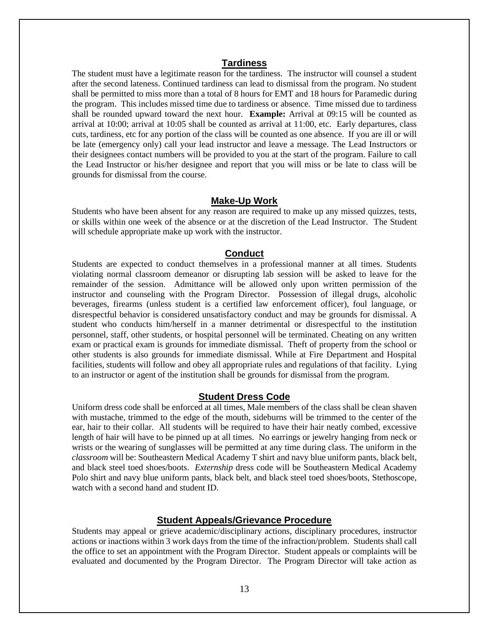## **Tardiness**

The student must have a legitimate reason for the tardiness. The instructor will counsel a student after the second lateness. Continued tardiness can lead to dismissal from the program. No student shall be permitted to miss more than a total of 8 hours for EMT and 18 hours for Paramedic during the program. This includes missed time due to tardiness or absence. Time missed due to tardiness shall be rounded upward toward the next hour. **Example:** Arrival at 09:15 will be counted as arrival at 10:00; arrival at 10:05 shall be counted as arrival at 11:00, etc. Early departures, class cuts, tardiness, etc for any portion of the class will be counted as one absence. If you are ill or will be late (emergency only) call your lead instructor and leave a message. The Lead Instructors or their designees contact numbers will be provided to you at the start of the program. Failure to call the Lead Instructor or his/her designee and report that you will miss or be late to class will be grounds for dismissal from the course.

#### **Make-Up Work**

Students who have been absent for any reason are required to make up any missed quizzes, tests, or skills within one week of the absence or at the discretion of the Lead Instructor. The Student will schedule appropriate make up work with the instructor.

#### **Conduct**

Students are expected to conduct themselves in a professional manner at all times. Students violating normal classroom demeanor or disrupting lab session will be asked to leave for the remainder of the session. Admittance will be allowed only upon written permission of the instructor and counseling with the Program Director. Possession of illegal drugs, alcoholic beverages, firearms (unless student is a certified law enforcement officer), foul language, or disrespectful behavior is considered unsatisfactory conduct and may be grounds for dismissal. A student who conducts him/herself in a manner detrimental or disrespectful to the institution personnel, staff, other students, or hospital personnel will be terminated. Cheating on any written exam or practical exam is grounds for immediate dismissal. Theft of property from the school or other students is also grounds for immediate dismissal. While at Fire Department and Hospital facilities, students will follow and obey all appropriate rules and regulations of that facility. Lying to an instructor or agent of the institution shall be grounds for dismissal from the program.

#### **Student Dress Code**

Uniform dress code shall be enforced at all times, Male members of the class shall be clean shaven with mustache, trimmed to the edge of the mouth, sideburns will be trimmed to the center of the ear, hair to their collar. All students will be required to have their hair neatly combed, excessive length of hair will have to be pinned up at all times. No earrings or jewelry hanging from neck or wrists or the wearing of sunglasses will be permitted at any time during class. The uniform in the *classroom* will be: Southeastern Medical Academy T shirt and navy blue uniform pants, black belt, and black steel toed shoes/boots. *Externship* dress code will be Southeastern Medical Academy Polo shirt and navy blue uniform pants, black belt, and black steel toed shoes/boots, Stethoscope, watch with a second hand and student ID.

#### **Student Appeals/Grievance Procedure**

Students may appeal or grieve academic/disciplinary actions, disciplinary procedures, instructor actions or inactions within 3 work days from the time of the infraction/problem. Students shall call the office to set an appointment with the Program Director. Student appeals or complaints will be evaluated and documented by the Program Director. The Program Director will take action as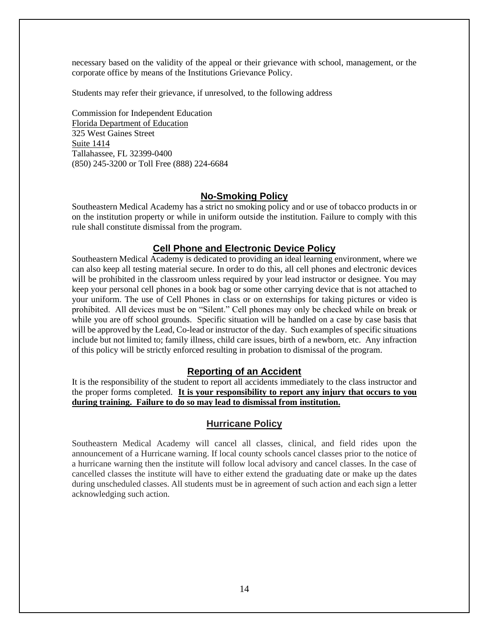necessary based on the validity of the appeal or their grievance with school, management, or the corporate office by means of the Institutions Grievance Policy.

Students may refer their grievance, if unresolved, to the following address

Commission for Independent Education Florida Department of Education 325 West Gaines Street Suite 1414 Tallahassee, FL 32399-0400 (850) 245-3200 or Toll Free (888) 224-6684

## **No-Smoking Policy**

Southeastern Medical Academy has a strict no smoking policy and or use of tobacco products in or on the institution property or while in uniform outside the institution. Failure to comply with this rule shall constitute dismissal from the program.

#### **Cell Phone and Electronic Device Policy**

Southeastern Medical Academy is dedicated to providing an ideal learning environment, where we can also keep all testing material secure. In order to do this, all cell phones and electronic devices will be prohibited in the classroom unless required by your lead instructor or designee. You may keep your personal cell phones in a book bag or some other carrying device that is not attached to your uniform. The use of Cell Phones in class or on externships for taking pictures or video is prohibited. All devices must be on "Silent." Cell phones may only be checked while on break or while you are off school grounds. Specific situation will be handled on a case by case basis that will be approved by the Lead, Co-lead or instructor of the day. Such examples of specific situations include but not limited to; family illness, child care issues, birth of a newborn, etc. Any infraction of this policy will be strictly enforced resulting in probation to dismissal of the program.

#### **Reporting of an Accident**

It is the responsibility of the student to report all accidents immediately to the class instructor and the proper forms completed. **It is your responsibility to report any injury that occurs to you during training. Failure to do so may lead to dismissal from institution.**

#### **Hurricane Policy**

Southeastern Medical Academy will cancel all classes, clinical, and field rides upon the announcement of a Hurricane warning. If local county schools cancel classes prior to the notice of a hurricane warning then the institute will follow local advisory and cancel classes. In the case of cancelled classes the institute will have to either extend the graduating date or make up the dates during unscheduled classes. All students must be in agreement of such action and each sign a letter acknowledging such action.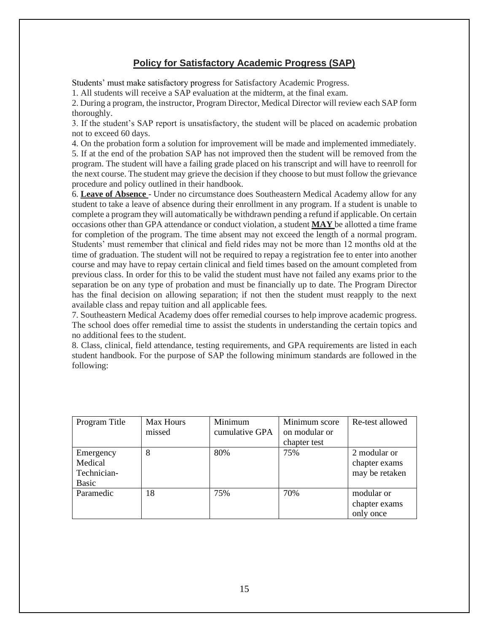## **Policy for Satisfactory Academic Progress (SAP)**

Students' must make satisfactory progress for Satisfactory Academic Progress.

1. All students will receive a SAP evaluation at the midterm, at the final exam.

2. During a program, the instructor, Program Director, Medical Director will review each SAP form thoroughly.

3. If the student's SAP report is unsatisfactory, the student will be placed on academic probation not to exceed 60 days.

4. On the probation form a solution for improvement will be made and implemented immediately. 5. If at the end of the probation SAP has not improved then the student will be removed from the program. The student will have a failing grade placed on his transcript and will have to reenroll for the next course. The student may grieve the decision if they choose to but must follow the grievance procedure and policy outlined in their handbook.

6. **Leave of Absence** - Under no circumstance does Southeastern Medical Academy allow for any student to take a leave of absence during their enrollment in any program. If a student is unable to complete a program they will automatically be withdrawn pending a refund if applicable. On certain occasions other than GPA attendance or conduct violation, a student **MAY** be allotted a time frame for completion of the program. The time absent may not exceed the length of a normal program. Students' must remember that clinical and field rides may not be more than 12 months old at the time of graduation. The student will not be required to repay a registration fee to enter into another course and may have to repay certain clinical and field times based on the amount completed from previous class. In order for this to be valid the student must have not failed any exams prior to the separation be on any type of probation and must be financially up to date. The Program Director has the final decision on allowing separation; if not then the student must reapply to the next available class and repay tuition and all applicable fees.

7. Southeastern Medical Academy does offer remedial courses to help improve academic progress. The school does offer remedial time to assist the students in understanding the certain topics and no additional fees to the student.

8. Class, clinical, field attendance, testing requirements, and GPA requirements are listed in each student handbook. For the purpose of SAP the following minimum standards are followed in the following:

| Program Title                                | Max Hours<br>missed | Minimum<br>cumulative GPA | Minimum score<br>on modular or<br>chapter test | Re-test allowed                                 |
|----------------------------------------------|---------------------|---------------------------|------------------------------------------------|-------------------------------------------------|
| Emergency<br>Medical<br>Technician-<br>Basic | 8                   | 80%                       | 75%                                            | 2 modular or<br>chapter exams<br>may be retaken |
| Paramedic                                    | 18                  | 75%                       | 70%                                            | modular or<br>chapter exams<br>only once        |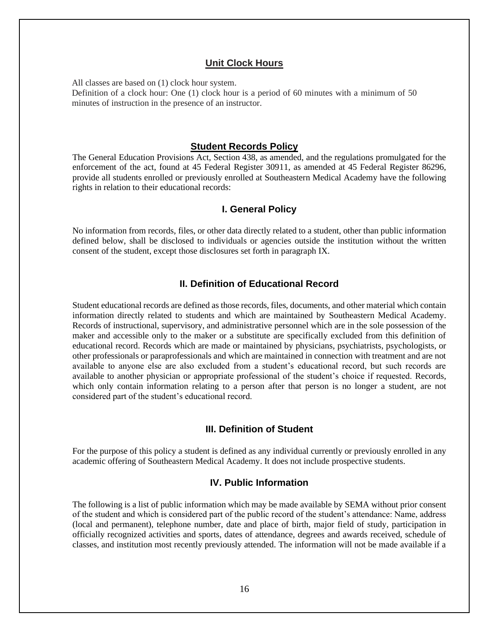## **Unit Clock Hours**

All classes are based on (1) clock hour system. Definition of a clock hour: One (1) clock hour is a period of 60 minutes with a minimum of 50 minutes of instruction in the presence of an instructor.

## **Student Records Policy**

The General Education Provisions Act, Section 438, as amended, and the regulations promulgated for the enforcement of the act, found at 45 Federal Register 30911, as amended at 45 Federal Register 86296, provide all students enrolled or previously enrolled at Southeastern Medical Academy have the following rights in relation to their educational records:

#### **I. General Policy**

No information from records, files, or other data directly related to a student, other than public information defined below, shall be disclosed to individuals or agencies outside the institution without the written consent of the student, except those disclosures set forth in paragraph IX.

## **II. Definition of Educational Record**

Student educational records are defined as those records, files, documents, and other material which contain information directly related to students and which are maintained by Southeastern Medical Academy. Records of instructional, supervisory, and administrative personnel which are in the sole possession of the maker and accessible only to the maker or a substitute are specifically excluded from this definition of educational record. Records which are made or maintained by physicians, psychiatrists, psychologists, or other professionals or paraprofessionals and which are maintained in connection with treatment and are not available to anyone else are also excluded from a student's educational record, but such records are available to another physician or appropriate professional of the student's choice if requested. Records, which only contain information relating to a person after that person is no longer a student, are not considered part of the student's educational record.

#### **III. Definition of Student**

For the purpose of this policy a student is defined as any individual currently or previously enrolled in any academic offering of Southeastern Medical Academy. It does not include prospective students.

## **IV. Public Information**

The following is a list of public information which may be made available by SEMA without prior consent of the student and which is considered part of the public record of the student's attendance: Name, address (local and permanent), telephone number, date and place of birth, major field of study, participation in officially recognized activities and sports, dates of attendance, degrees and awards received, schedule of classes, and institution most recently previously attended. The information will not be made available if a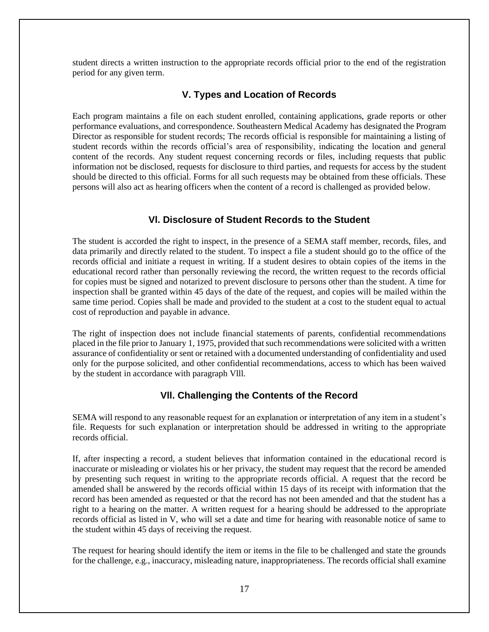student directs a written instruction to the appropriate records official prior to the end of the registration period for any given term.

## **V. Types and Location of Records**

Each program maintains a file on each student enrolled, containing applications, grade reports or other performance evaluations, and correspondence. Southeastern Medical Academy has designated the Program Director as responsible for student records; The records official is responsible for maintaining a listing of student records within the records official's area of responsibility, indicating the location and general content of the records. Any student request concerning records or files, including requests that public information not be disclosed, requests for disclosure to third parties, and requests for access by the student should be directed to this official. Forms for all such requests may be obtained from these officials. These persons will also act as hearing officers when the content of a record is challenged as provided below.

## **Vl. Disclosure of Student Records to the Student**

The student is accorded the right to inspect, in the presence of a SEMA staff member, records, files, and data primarily and directly related to the student. To inspect a file a student should go to the office of the records official and initiate a request in writing. If a student desires to obtain copies of the items in the educational record rather than personally reviewing the record, the written request to the records official for copies must be signed and notarized to prevent disclosure to persons other than the student. A time for inspection shall be granted within 45 days of the date of the request, and copies will be mailed within the same time period. Copies shall be made and provided to the student at a cost to the student equal to actual cost of reproduction and payable in advance.

The right of inspection does not include financial statements of parents, confidential recommendations placed in the file prior to January 1, 1975, provided that such recommendations were solicited with a written assurance of confidentiality or sent or retained with a documented understanding of confidentiality and used only for the purpose solicited, and other confidential recommendations, access to which has been waived by the student in accordance with paragraph Vlll.

## **Vll. Challenging the Contents of the Record**

SEMA will respond to any reasonable request for an explanation or interpretation of any item in a student's file. Requests for such explanation or interpretation should be addressed in writing to the appropriate records official.

If, after inspecting a record, a student believes that information contained in the educational record is inaccurate or misleading or violates his or her privacy, the student may request that the record be amended by presenting such request in writing to the appropriate records official. A request that the record be amended shall be answered by the records official within 15 days of its receipt with information that the record has been amended as requested or that the record has not been amended and that the student has a right to a hearing on the matter. A written request for a hearing should be addressed to the appropriate records official as listed in V, who will set a date and time for hearing with reasonable notice of same to the student within 45 days of receiving the request.

The request for hearing should identify the item or items in the file to be challenged and state the grounds for the challenge, e.g., inaccuracy, misleading nature, inappropriateness. The records official shall examine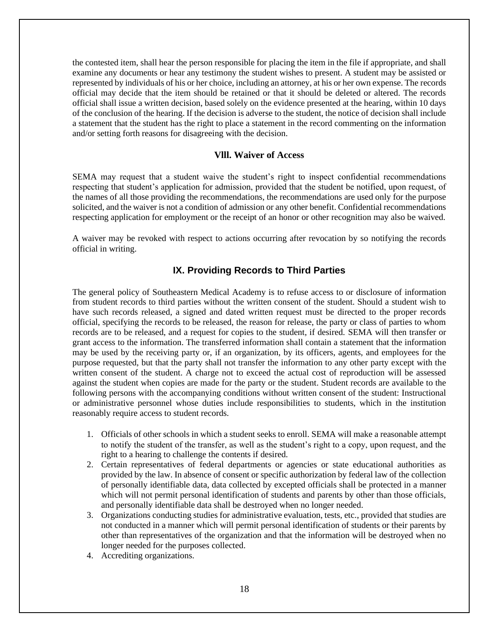the contested item, shall hear the person responsible for placing the item in the file if appropriate, and shall examine any documents or hear any testimony the student wishes to present. A student may be assisted or represented by individuals of his or her choice, including an attorney, at his or her own expense. The records official may decide that the item should be retained or that it should be deleted or altered. The records official shall issue a written decision, based solely on the evidence presented at the hearing, within 10 days of the conclusion of the hearing. If the decision is adverse to the student, the notice of decision shall include a statement that the student has the right to place a statement in the record commenting on the information and/or setting forth reasons for disagreeing with the decision.

## **Vlll. Waiver of Access**

SEMA may request that a student waive the student's right to inspect confidential recommendations respecting that student's application for admission, provided that the student be notified, upon request, of the names of all those providing the recommendations, the recommendations are used only for the purpose solicited, and the waiver is not a condition of admission or any other benefit. Confidential recommendations respecting application for employment or the receipt of an honor or other recognition may also be waived.

A waiver may be revoked with respect to actions occurring after revocation by so notifying the records official in writing.

## **IX. Providing Records to Third Parties**

The general policy of Southeastern Medical Academy is to refuse access to or disclosure of information from student records to third parties without the written consent of the student. Should a student wish to have such records released, a signed and dated written request must be directed to the proper records official, specifying the records to be released, the reason for release, the party or class of parties to whom records are to be released, and a request for copies to the student, if desired. SEMA will then transfer or grant access to the information. The transferred information shall contain a statement that the information may be used by the receiving party or, if an organization, by its officers, agents, and employees for the purpose requested, but that the party shall not transfer the information to any other party except with the written consent of the student. A charge not to exceed the actual cost of reproduction will be assessed against the student when copies are made for the party or the student. Student records are available to the following persons with the accompanying conditions without written consent of the student: Instructional or administrative personnel whose duties include responsibilities to students, which in the institution reasonably require access to student records.

- 1. Officials of other schools in which a student seeks to enroll. SEMA will make a reasonable attempt to notify the student of the transfer, as well as the student's right to a copy, upon request, and the right to a hearing to challenge the contents if desired.
- 2. Certain representatives of federal departments or agencies or state educational authorities as provided by the law. In absence of consent or specific authorization by federal law of the collection of personally identifiable data, data collected by excepted officials shall be protected in a manner which will not permit personal identification of students and parents by other than those officials, and personally identifiable data shall be destroyed when no longer needed.
- 3. Organizations conducting studies for administrative evaluation, tests, etc., provided that studies are not conducted in a manner which will permit personal identification of students or their parents by other than representatives of the organization and that the information will be destroyed when no longer needed for the purposes collected.
- 4. Accrediting organizations.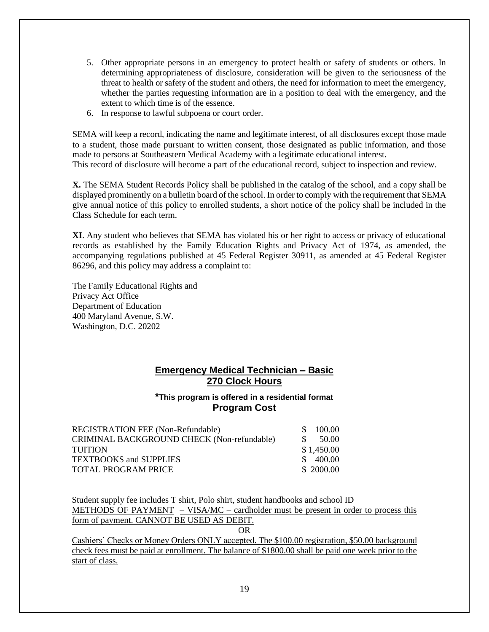- 5. Other appropriate persons in an emergency to protect health or safety of students or others. In determining appropriateness of disclosure, consideration will be given to the seriousness of the threat to health or safety of the student and others, the need for information to meet the emergency, whether the parties requesting information are in a position to deal with the emergency, and the extent to which time is of the essence.
- 6. In response to lawful subpoena or court order.

SEMA will keep a record, indicating the name and legitimate interest, of all disclosures except those made to a student, those made pursuant to written consent, those designated as public information, and those made to persons at Southeastern Medical Academy with a legitimate educational interest. This record of disclosure will become a part of the educational record, subject to inspection and review.

**X.** The SEMA Student Records Policy shall be published in the catalog of the school, and a copy shall be displayed prominently on a bulletin board of the school. In order to comply with the requirement that SEMA give annual notice of this policy to enrolled students, a short notice of the policy shall be included in the Class Schedule for each term.

**XI**. Any student who believes that SEMA has violated his or her right to access or privacy of educational records as established by the Family Education Rights and Privacy Act of 1974, as amended, the accompanying regulations published at 45 Federal Register 30911, as amended at 45 Federal Register 86296, and this policy may address a complaint to:

The Family Educational Rights and Privacy Act Office Department of Education 400 Maryland Avenue, S.W. Washington, D.C. 20202

## **Emergency Medical Technician – Basic 270 Clock Hours**

## **\*This program is offered in a residential format Program Cost**

| REGISTRATION FEE (Non-Refundable)          | 100.00<br>S. |
|--------------------------------------------|--------------|
| CRIMINAL BACKGROUND CHECK (Non-refundable) | -S<br>50.00  |
| <b>TUITION</b>                             | \$1,450.00   |
| <b>TEXTBOOKS</b> and SUPPLIES              | \$400.00     |
| <b>TOTAL PROGRAM PRICE</b>                 | \$ 2000.00   |
|                                            |              |

Student supply fee includes T shirt, Polo shirt, student handbooks and school ID METHODS OF PAYMENT  $-$  VISA/MC – cardholder must be present in order to process this form of payment. CANNOT BE USED AS DEBIT.

OR

Cashiers' Checks or Money Orders ONLY accepted. The \$100.00 registration, \$50.00 background check fees must be paid at enrollment. The balance of \$1800.00 shall be paid one week prior to the start of class.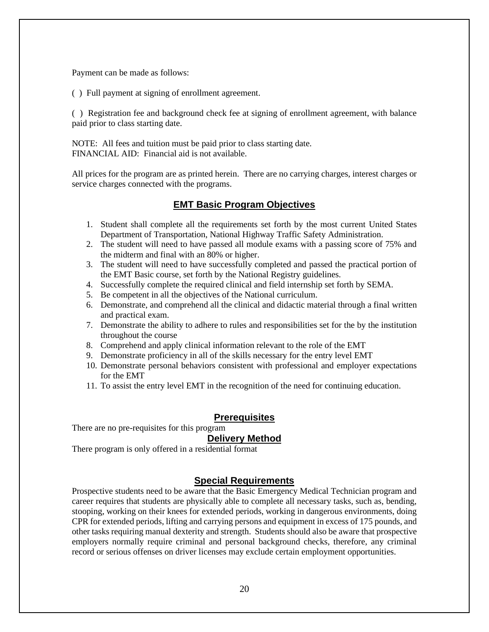Payment can be made as follows:

( ) Full payment at signing of enrollment agreement.

( ) Registration fee and background check fee at signing of enrollment agreement, with balance paid prior to class starting date.

NOTE: All fees and tuition must be paid prior to class starting date. FINANCIAL AID: Financial aid is not available.

All prices for the program are as printed herein. There are no carrying charges, interest charges or service charges connected with the programs.

## **EMT Basic Program Objectives**

- 1. Student shall complete all the requirements set forth by the most current United States Department of Transportation, National Highway Traffic Safety Administration.
- 2. The student will need to have passed all module exams with a passing score of 75% and the midterm and final with an 80% or higher.
- 3. The student will need to have successfully completed and passed the practical portion of the EMT Basic course, set forth by the National Registry guidelines.
- 4. Successfully complete the required clinical and field internship set forth by SEMA.
- 5. Be competent in all the objectives of the National curriculum.
- 6. Demonstrate, and comprehend all the clinical and didactic material through a final written and practical exam.
- 7. Demonstrate the ability to adhere to rules and responsibilities set for the by the institution throughout the course
- 8. Comprehend and apply clinical information relevant to the role of the EMT
- 9. Demonstrate proficiency in all of the skills necessary for the entry level EMT
- 10. Demonstrate personal behaviors consistent with professional and employer expectations for the EMT
- 11. To assist the entry level EMT in the recognition of the need for continuing education.

## **Prerequisites**

There are no pre-requisites for this program

## **Delivery Method**

There program is only offered in a residential format

## **Special Requirements**

Prospective students need to be aware that the Basic Emergency Medical Technician program and career requires that students are physically able to complete all necessary tasks, such as, bending, stooping, working on their knees for extended periods, working in dangerous environments, doing CPR for extended periods, lifting and carrying persons and equipment in excess of 175 pounds, and other tasks requiring manual dexterity and strength. Students should also be aware that prospective employers normally require criminal and personal background checks, therefore, any criminal record or serious offenses on driver licenses may exclude certain employment opportunities.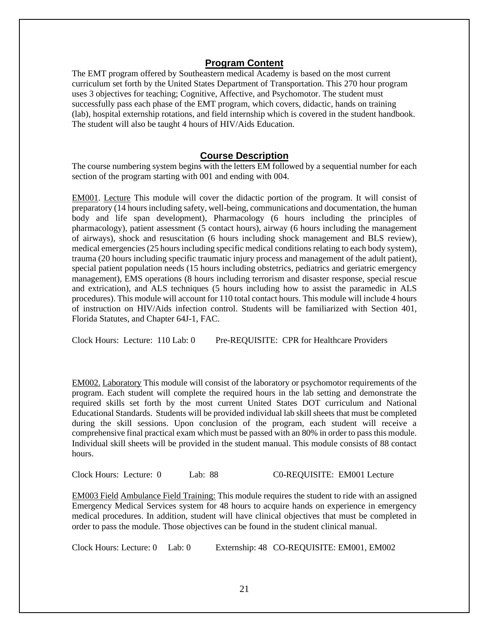## **Program Content**

The EMT program offered by Southeastern medical Academy is based on the most current curriculum set forth by the United States Department of Transportation. This 270 hour program uses 3 objectives for teaching; Cognitive, Affective, and Psychomotor. The student must successfully pass each phase of the EMT program, which covers, didactic, hands on training (lab), hospital externship rotations, and field internship which is covered in the student handbook. The student will also be taught 4 hours of HIV/Aids Education.

## **Course Description**

The course numbering system begins with the letters EM followed by a sequential number for each section of the program starting with 001 and ending with 004.

EM001. Lecture This module will cover the didactic portion of the program. It will consist of preparatory (14 hours including safety, well-being, communications and documentation, the human body and life span development), Pharmacology (6 hours including the principles of pharmacology), patient assessment (5 contact hours), airway (6 hours including the management of airways), shock and resuscitation (6 hours including shock management and BLS review), medical emergencies(25 hours including specific medical conditions relating to each body system), trauma (20 hours including specific traumatic injury process and management of the adult patient), special patient population needs (15 hours including obstetrics, pediatrics and geriatric emergency management), EMS operations (8 hours including terrorism and disaster response, special rescue and extrication), and ALS techniques (5 hours including how to assist the paramedic in ALS procedures). This module will account for 110 total contact hours. This module will include 4 hours of instruction on HIV/Aids infection control. Students will be familiarized with Section 401, Florida Statutes, and Chapter 64J-1, FAC.

Clock Hours: Lecture: 110 Lab: 0 Pre-REQUISITE: CPR for Healthcare Providers

EM002. Laboratory This module will consist of the laboratory or psychomotor requirements of the program. Each student will complete the required hours in the lab setting and demonstrate the required skills set forth by the most current United States DOT curriculum and National Educational Standards. Students will be provided individual lab skill sheets that must be completed during the skill sessions. Upon conclusion of the program, each student will receive a comprehensive final practical exam which must be passed with an 80% in order to pass this module. Individual skill sheets will be provided in the student manual. This module consists of 88 contact hours.

Clock Hours: Lecture: 0 Lab: 88 C0-REQUISITE: EM001 Lecture

EM003 Field Ambulance Field Training: This module requires the student to ride with an assigned Emergency Medical Services system for 48 hours to acquire hands on experience in emergency medical procedures. In addition, student will have clinical objectives that must be completed in order to pass the module. Those objectives can be found in the student clinical manual.

Clock Hours: Lecture: 0 Lab: 0 Externship: 48 CO-REQUISITE: EM001, EM002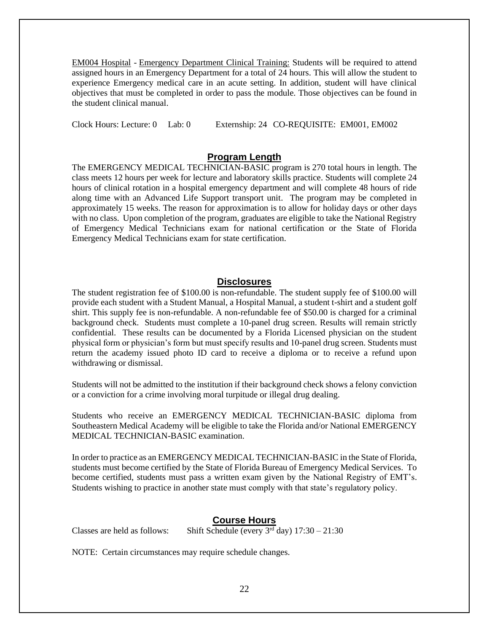EM004 Hospital - Emergency Department Clinical Training: Students will be required to attend assigned hours in an Emergency Department for a total of 24 hours. This will allow the student to experience Emergency medical care in an acute setting. In addition, student will have clinical objectives that must be completed in order to pass the module. Those objectives can be found in the student clinical manual.

Clock Hours: Lecture: 0 Lab: 0 Externship: 24 CO-REQUISITE: EM001, EM002

## **Program Length**

The EMERGENCY MEDICAL TECHNICIAN-BASIC program is 270 total hours in length. The class meets 12 hours per week for lecture and laboratory skills practice. Students will complete 24 hours of clinical rotation in a hospital emergency department and will complete 48 hours of ride along time with an Advanced Life Support transport unit. The program may be completed in approximately 15 weeks. The reason for approximation is to allow for holiday days or other days with no class. Upon completion of the program, graduates are eligible to take the National Registry of Emergency Medical Technicians exam for national certification or the State of Florida Emergency Medical Technicians exam for state certification.

## **Disclosures**

The student registration fee of \$100.00 is non-refundable. The student supply fee of \$100.00 will provide each student with a Student Manual, a Hospital Manual, a student t-shirt and a student golf shirt. This supply fee is non-refundable. A non-refundable fee of \$50.00 is charged for a criminal background check. Students must complete a 10-panel drug screen. Results will remain strictly confidential. These results can be documented by a Florida Licensed physician on the student physical form or physician's form but must specify results and 10-panel drug screen. Students must return the academy issued photo ID card to receive a diploma or to receive a refund upon withdrawing or dismissal.

Students will not be admitted to the institution if their background check shows a felony conviction or a conviction for a crime involving moral turpitude or illegal drug dealing.

Students who receive an EMERGENCY MEDICAL TECHNICIAN-BASIC diploma from Southeastern Medical Academy will be eligible to take the Florida and/or National EMERGENCY MEDICAL TECHNICIAN-BASIC examination.

In order to practice as an EMERGENCY MEDICAL TECHNICIAN-BASIC in the State of Florida, students must become certified by the State of Florida Bureau of Emergency Medical Services. To become certified, students must pass a written exam given by the National Registry of EMT's. Students wishing to practice in another state must comply with that state's regulatory policy.

## **Course Hours**

Classes are held as follows: Shift Schedule (every  $3<sup>rd</sup>$  day)  $17:30 - 21:30$ 

NOTE: Certain circumstances may require schedule changes.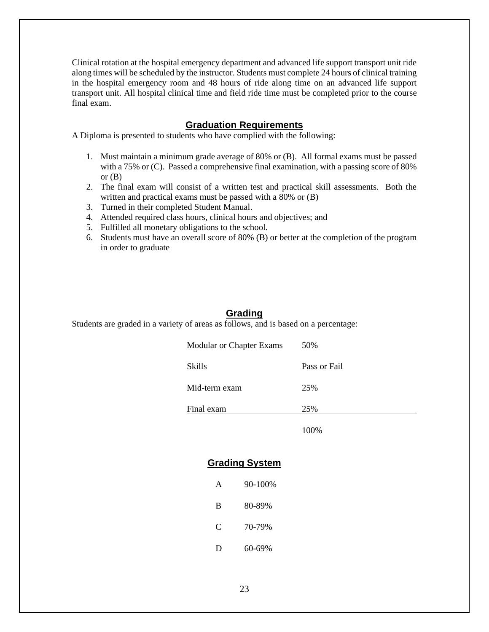Clinical rotation at the hospital emergency department and advanced life support transport unit ride along times will be scheduled by the instructor. Students must complete 24 hours of clinical training in the hospital emergency room and 48 hours of ride along time on an advanced life support transport unit. All hospital clinical time and field ride time must be completed prior to the course final exam.

## **Graduation Requirements**

A Diploma is presented to students who have complied with the following:

- 1. Must maintain a minimum grade average of 80% or (B). All formal exams must be passed with a 75% or (C). Passed a comprehensive final examination, with a passing score of 80% or  $(B)$
- 2. The final exam will consist of a written test and practical skill assessments. Both the written and practical exams must be passed with a 80% or (B)
- 3. Turned in their completed Student Manual.
- 4. Attended required class hours, clinical hours and objectives; and
- 5. Fulfilled all monetary obligations to the school.
- 6. Students must have an overall score of 80% (B) or better at the completion of the program in order to graduate

## **Grading**

Students are graded in a variety of areas as follows, and is based on a percentage:

| <b>Modular or Chapter Exams</b> | 50%          |
|---------------------------------|--------------|
| <b>Skills</b>                   | Pass or Fail |
| Mid-term exam                   | 25%          |
| Final exam                      | 25%          |

100%

## **Grading System**

| A | 90-100% |
|---|---------|
| B | 80-89%  |
| C | 70-79%  |
| Ð | 60-69%  |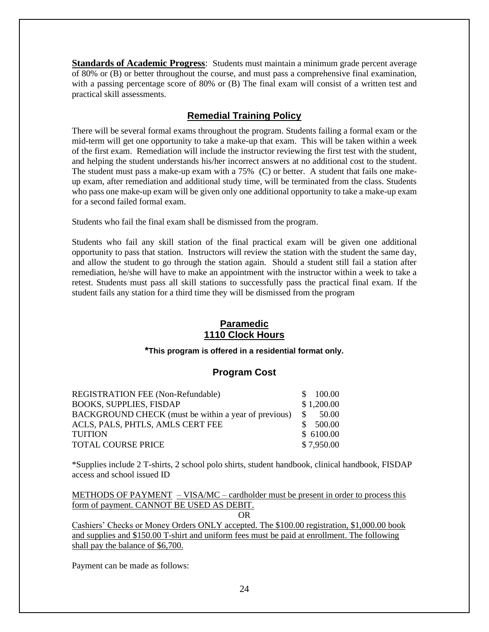**Standards of Academic Progress**: Students must maintain a minimum grade percent average of 80% or (B) or better throughout the course, and must pass a comprehensive final examination, with a passing percentage score of 80% or (B) The final exam will consist of a written test and practical skill assessments.

## **Remedial Training Policy**

There will be several formal exams throughout the program. Students failing a formal exam or the mid-term will get one opportunity to take a make-up that exam. This will be taken within a week of the first exam. Remediation will include the instructor reviewing the first test with the student, and helping the student understands his/her incorrect answers at no additional cost to the student. The student must pass a make-up exam with a 75% (C) or better. A student that fails one makeup exam, after remediation and additional study time, will be terminated from the class. Students who pass one make-up exam will be given only one additional opportunity to take a make-up exam for a second failed formal exam.

Students who fail the final exam shall be dismissed from the program.

Students who fail any skill station of the final practical exam will be given one additional opportunity to pass that station. Instructors will review the station with the student the same day, and allow the student to go through the station again. Should a student still fail a station after remediation, he/she will have to make an appointment with the instructor within a week to take a retest. Students must pass all skill stations to successfully pass the practical final exam. If the student fails any station for a third time they will be dismissed from the program

## **Paramedic 1110 Clock Hours**

## **\*This program is offered in a residential format only.**

## **Program Cost**

| REGISTRATION FEE (Non-Refundable)                    | 100.00<br>SS.          |
|------------------------------------------------------|------------------------|
| <b>BOOKS, SUPPLIES, FISDAP</b>                       | \$1,200.00             |
| BACKGROUND CHECK (must be within a year of previous) | <sup>\$</sup><br>50.00 |
| ACLS, PALS, PHTLS, AMLS CERT FEE                     | 500.00                 |
| <b>TUITION</b>                                       | \$6100.00              |
| <b>TOTAL COURSE PRICE</b>                            | \$7,950.00             |

\*Supplies include 2 T-shirts, 2 school polo shirts, student handbook, clinical handbook, FISDAP access and school issued ID

METHODS OF PAYMENT – VISA/MC – cardholder must be present in order to process this form of payment. CANNOT BE USED AS DEBIT.

OR

Cashiers' Checks or Money Orders ONLY accepted. The \$100.00 registration, \$1,000.00 book and supplies and \$150.00 T-shirt and uniform fees must be paid at enrollment. The following shall pay the balance of \$6,700.

Payment can be made as follows: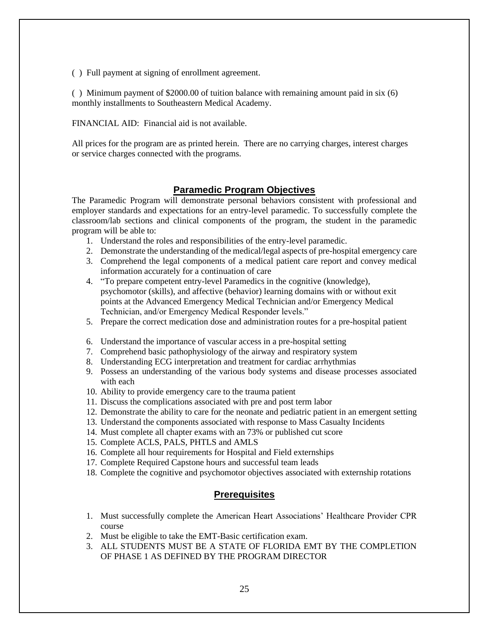( ) Full payment at signing of enrollment agreement.

( ) Minimum payment of \$2000.00 of tuition balance with remaining amount paid in six (6) monthly installments to Southeastern Medical Academy.

FINANCIAL AID: Financial aid is not available.

All prices for the program are as printed herein. There are no carrying charges, interest charges or service charges connected with the programs.

## **Paramedic Program Objectives**

The Paramedic Program will demonstrate personal behaviors consistent with professional and employer standards and expectations for an entry-level paramedic. To successfully complete the classroom/lab sections and clinical components of the program, the student in the paramedic program will be able to:

- 1. Understand the roles and responsibilities of the entry-level paramedic.
- 2. Demonstrate the understanding of the medical/legal aspects of pre-hospital emergency care
- 3. Comprehend the legal components of a medical patient care report and convey medical information accurately for a continuation of care
- 4. "To prepare competent entry-level Paramedics in the cognitive (knowledge), psychomotor (skills), and affective (behavior) learning domains with or without exit points at the Advanced Emergency Medical Technician and/or Emergency Medical Technician, and/or Emergency Medical Responder levels."
- 5. Prepare the correct medication dose and administration routes for a pre-hospital patient
- 6. Understand the importance of vascular access in a pre-hospital setting
- 7. Comprehend basic pathophysiology of the airway and respiratory system
- 8. Understanding ECG interpretation and treatment for cardiac arrhythmias
- 9. Possess an understanding of the various body systems and disease processes associated with each
- 10. Ability to provide emergency care to the trauma patient
- 11. Discuss the complications associated with pre and post term labor
- 12. Demonstrate the ability to care for the neonate and pediatric patient in an emergent setting
- 13. Understand the components associated with response to Mass Casualty Incidents
- 14. Must complete all chapter exams with an 73% or published cut score
- 15. Complete ACLS, PALS, PHTLS and AMLS
- 16. Complete all hour requirements for Hospital and Field externships
- 17. Complete Required Capstone hours and successful team leads
- 18. Complete the cognitive and psychomotor objectives associated with externship rotations

## **Prerequisites**

- 1. Must successfully complete the American Heart Associations' Healthcare Provider CPR course
- 2. Must be eligible to take the EMT-Basic certification exam.
- 3. ALL STUDENTS MUST BE A STATE OF FLORIDA EMT BY THE COMPLETION OF PHASE 1 AS DEFINED BY THE PROGRAM DIRECTOR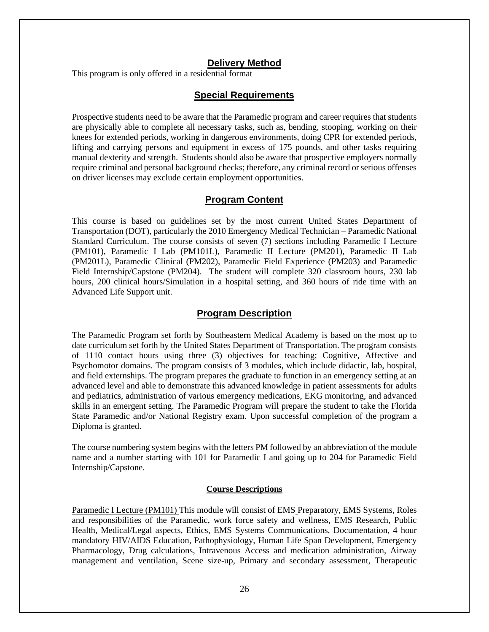## **Delivery Method**

This program is only offered in a residential format

## **Special Requirements**

Prospective students need to be aware that the Paramedic program and career requires that students are physically able to complete all necessary tasks, such as, bending, stooping, working on their knees for extended periods, working in dangerous environments, doing CPR for extended periods, lifting and carrying persons and equipment in excess of 175 pounds, and other tasks requiring manual dexterity and strength. Students should also be aware that prospective employers normally require criminal and personal background checks; therefore, any criminal record or serious offenses on driver licenses may exclude certain employment opportunities.

## **Program Content**

This course is based on guidelines set by the most current United States Department of Transportation (DOT), particularly the 2010 Emergency Medical Technician – Paramedic National Standard Curriculum. The course consists of seven (7) sections including Paramedic I Lecture (PM101), Paramedic I Lab (PM101L), Paramedic II Lecture (PM201), Paramedic II Lab (PM201L), Paramedic Clinical (PM202), Paramedic Field Experience (PM203) and Paramedic Field Internship/Capstone (PM204). The student will complete 320 classroom hours, 230 lab hours, 200 clinical hours/Simulation in a hospital setting, and 360 hours of ride time with an Advanced Life Support unit.

#### **Program Description**

The Paramedic Program set forth by Southeastern Medical Academy is based on the most up to date curriculum set forth by the United States Department of Transportation. The program consists of 1110 contact hours using three (3) objectives for teaching; Cognitive, Affective and Psychomotor domains. The program consists of 3 modules, which include didactic, lab, hospital, and field externships. The program prepares the graduate to function in an emergency setting at an advanced level and able to demonstrate this advanced knowledge in patient assessments for adults and pediatrics, administration of various emergency medications, EKG monitoring, and advanced skills in an emergent setting. The Paramedic Program will prepare the student to take the Florida State Paramedic and/or National Registry exam. Upon successful completion of the program a Diploma is granted.

The course numbering system begins with the letters PM followed by an abbreviation of the module name and a number starting with 101 for Paramedic I and going up to 204 for Paramedic Field Internship/Capstone.

#### **Course Descriptions**

Paramedic I Lecture (PM101) This module will consist of EMS Preparatory, EMS Systems, Roles and responsibilities of the Paramedic, work force safety and wellness, EMS Research, Public Health, Medical/Legal aspects, Ethics, EMS Systems Communications, Documentation, 4 hour mandatory HIV/AIDS Education, Pathophysiology, Human Life Span Development, Emergency Pharmacology, Drug calculations, Intravenous Access and medication administration, Airway management and ventilation, Scene size-up, Primary and secondary assessment, Therapeutic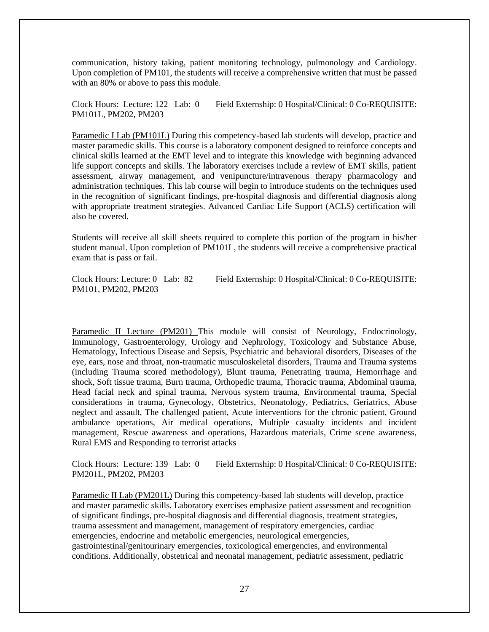communication, history taking, patient monitoring technology, pulmonology and Cardiology. Upon completion of PM101, the students will receive a comprehensive written that must be passed with an 80% or above to pass this module.

Clock Hours: Lecture: 122 Lab: 0 Field Externship: 0 Hospital/Clinical: 0 Co-REQUISITE: PM101L, PM202, PM203

Paramedic I Lab (PM101L) During this competency-based lab students will develop, practice and master paramedic skills. This course is a laboratory component designed to reinforce concepts and clinical skills learned at the EMT level and to integrate this knowledge with beginning advanced life support concepts and skills. The laboratory exercises include a review of EMT skills, patient assessment, airway management, and venipuncture/intravenous therapy pharmacology and administration techniques. This lab course will begin to introduce students on the techniques used in the recognition of significant findings, pre-hospital diagnosis and differential diagnosis along with appropriate treatment strategies. Advanced Cardiac Life Support (ACLS) certification will also be covered.

Students will receive all skill sheets required to complete this portion of the program in his/her student manual. Upon completion of PM101L, the students will receive a comprehensive practical exam that is pass or fail.

Clock Hours: Lecture: 0 Lab: 82 Field Externship: 0 Hospital/Clinical: 0 Co-REQUISITE: PM101, PM202, PM203

Paramedic II Lecture (PM201) This module will consist of Neurology, Endocrinology, Immunology, Gastroenterology, Urology and Nephrology, Toxicology and Substance Abuse, Hematology, Infectious Disease and Sepsis, Psychiatric and behavioral disorders, Diseases of the eye, ears, nose and throat, non-traumatic musculoskeletal disorders, Trauma and Trauma systems (including Trauma scored methodology), Blunt trauma, Penetrating trauma, Hemorrhage and shock, Soft tissue trauma, Burn trauma, Orthopedic trauma, Thoracic trauma, Abdominal trauma, Head facial neck and spinal trauma, Nervous system trauma, Environmental trauma, Special considerations in trauma, Gynecology, Obstetrics, Neonatology, Pediatrics, Geriatrics, Abuse neglect and assault, The challenged patient, Acute interventions for the chronic patient, Ground ambulance operations, Air medical operations, Multiple casualty incidents and incident management, Rescue awareness and operations, Hazardous materials, Crime scene awareness, Rural EMS and Responding to terrorist attacks

Clock Hours: Lecture: 139 Lab: 0 Field Externship: 0 Hospital/Clinical: 0 Co-REQUISITE: PM201L, PM202, PM203

Paramedic II Lab (PM201L) During this competency-based lab students will develop, practice and master paramedic skills. Laboratory exercises emphasize patient assessment and recognition of significant findings, pre-hospital diagnosis and differential diagnosis, treatment strategies, trauma assessment and management, management of respiratory emergencies, cardiac emergencies, endocrine and metabolic emergencies, neurological emergencies, gastrointestinal/genitourinary emergencies, toxicological emergencies, and environmental conditions. Additionally, obstetrical and neonatal management, pediatric assessment, pediatric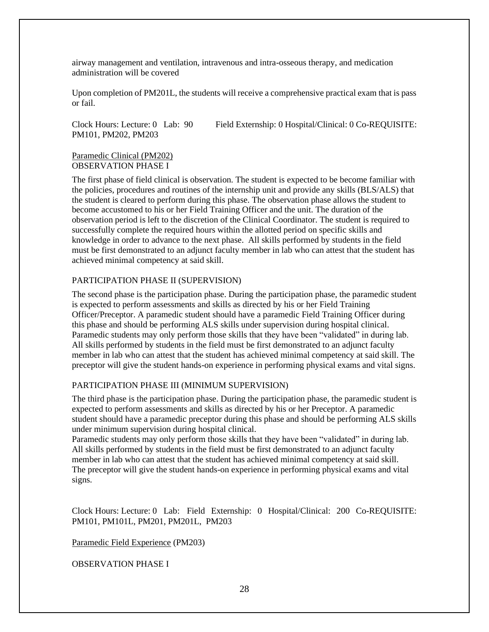airway management and ventilation, intravenous and intra-osseous therapy, and medication administration will be covered

Upon completion of PM201L, the students will receive a comprehensive practical exam that is pass or fail.

Clock Hours: Lecture: 0 Lab: 90 Field Externship: 0 Hospital/Clinical: 0 Co-REQUISITE: PM101, PM202, PM203

#### Paramedic Clinical (PM202) OBSERVATION PHASE I

The first phase of field clinical is observation. The student is expected to be become familiar with the policies, procedures and routines of the internship unit and provide any skills (BLS/ALS) that the student is cleared to perform during this phase. The observation phase allows the student to become accustomed to his or her Field Training Officer and the unit. The duration of the observation period is left to the discretion of the Clinical Coordinator. The student is required to successfully complete the required hours within the allotted period on specific skills and knowledge in order to advance to the next phase. All skills performed by students in the field must be first demonstrated to an adjunct faculty member in lab who can attest that the student has achieved minimal competency at said skill.

#### PARTICIPATION PHASE II (SUPERVISION)

The second phase is the participation phase. During the participation phase, the paramedic student is expected to perform assessments and skills as directed by his or her Field Training Officer/Preceptor. A paramedic student should have a paramedic Field Training Officer during this phase and should be performing ALS skills under supervision during hospital clinical. Paramedic students may only perform those skills that they have been "validated" in during lab. All skills performed by students in the field must be first demonstrated to an adjunct faculty member in lab who can attest that the student has achieved minimal competency at said skill. The preceptor will give the student hands-on experience in performing physical exams and vital signs.

#### PARTICIPATION PHASE III (MINIMUM SUPERVISION)

The third phase is the participation phase. During the participation phase, the paramedic student is expected to perform assessments and skills as directed by his or her Preceptor. A paramedic student should have a paramedic preceptor during this phase and should be performing ALS skills under minimum supervision during hospital clinical.

Paramedic students may only perform those skills that they have been "validated" in during lab. All skills performed by students in the field must be first demonstrated to an adjunct faculty member in lab who can attest that the student has achieved minimal competency at said skill. The preceptor will give the student hands-on experience in performing physical exams and vital signs.

Clock Hours: Lecture: 0 Lab: Field Externship: 0 Hospital/Clinical: 200 Co-REQUISITE: PM101, PM101L, PM201, PM201L, PM203

Paramedic Field Experience (PM203)

OBSERVATION PHASE I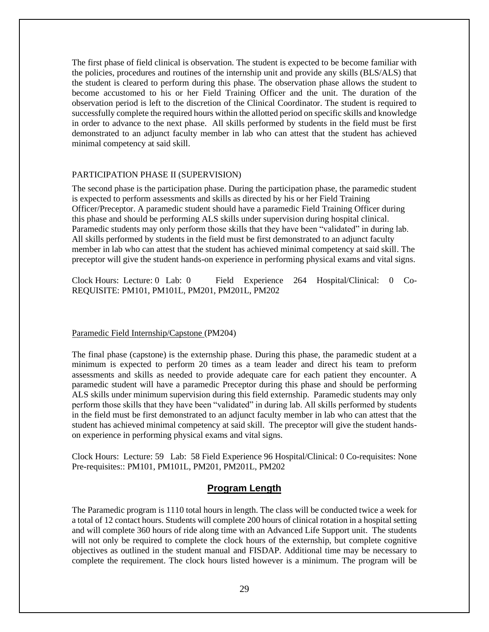The first phase of field clinical is observation. The student is expected to be become familiar with the policies, procedures and routines of the internship unit and provide any skills (BLS/ALS) that the student is cleared to perform during this phase. The observation phase allows the student to become accustomed to his or her Field Training Officer and the unit. The duration of the observation period is left to the discretion of the Clinical Coordinator. The student is required to successfully complete the required hours within the allotted period on specific skills and knowledge in order to advance to the next phase. All skills performed by students in the field must be first demonstrated to an adjunct faculty member in lab who can attest that the student has achieved minimal competency at said skill.

#### PARTICIPATION PHASE II (SUPERVISION)

The second phase is the participation phase. During the participation phase, the paramedic student is expected to perform assessments and skills as directed by his or her Field Training Officer/Preceptor. A paramedic student should have a paramedic Field Training Officer during this phase and should be performing ALS skills under supervision during hospital clinical. Paramedic students may only perform those skills that they have been "validated" in during lab. All skills performed by students in the field must be first demonstrated to an adjunct faculty member in lab who can attest that the student has achieved minimal competency at said skill. The preceptor will give the student hands-on experience in performing physical exams and vital signs.

Clock Hours: Lecture: 0 Lab: 0 Field Experience 264 Hospital/Clinical: 0 Co-REQUISITE: PM101, PM101L, PM201, PM201L, PM202

#### Paramedic Field Internship/Capstone (PM204)

The final phase (capstone) is the externship phase. During this phase, the paramedic student at a minimum is expected to perform 20 times as a team leader and direct his team to preform assessments and skills as needed to provide adequate care for each patient they encounter. A paramedic student will have a paramedic Preceptor during this phase and should be performing ALS skills under minimum supervision during this field externship. Paramedic students may only perform those skills that they have been "validated" in during lab. All skills performed by students in the field must be first demonstrated to an adjunct faculty member in lab who can attest that the student has achieved minimal competency at said skill. The preceptor will give the student handson experience in performing physical exams and vital signs.

Clock Hours: Lecture: 59 Lab: 58 Field Experience 96 Hospital/Clinical: 0 Co-requisites: None Pre-requisites:: PM101, PM101L, PM201, PM201L, PM202

#### **Program Length**

The Paramedic program is 1110 total hours in length. The class will be conducted twice a week for a total of 12 contact hours. Students will complete 200 hours of clinical rotation in a hospital setting and will complete 360 hours of ride along time with an Advanced Life Support unit. The students will not only be required to complete the clock hours of the externship, but complete cognitive objectives as outlined in the student manual and FISDAP. Additional time may be necessary to complete the requirement. The clock hours listed however is a minimum. The program will be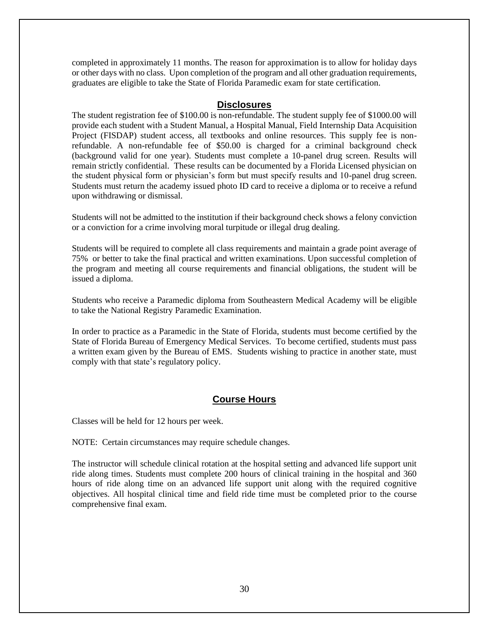completed in approximately 11 months. The reason for approximation is to allow for holiday days or other days with no class. Upon completion of the program and all other graduation requirements, graduates are eligible to take the State of Florida Paramedic exam for state certification.

## **Disclosures**

The student registration fee of \$100.00 is non-refundable. The student supply fee of \$1000.00 will provide each student with a Student Manual, a Hospital Manual, Field Internship Data Acquisition Project (FISDAP) student access, all textbooks and online resources. This supply fee is nonrefundable. A non-refundable fee of \$50.00 is charged for a criminal background check (background valid for one year). Students must complete a 10-panel drug screen. Results will remain strictly confidential. These results can be documented by a Florida Licensed physician on the student physical form or physician's form but must specify results and 10-panel drug screen. Students must return the academy issued photo ID card to receive a diploma or to receive a refund upon withdrawing or dismissal.

Students will not be admitted to the institution if their background check shows a felony conviction or a conviction for a crime involving moral turpitude or illegal drug dealing.

Students will be required to complete all class requirements and maintain a grade point average of 75% or better to take the final practical and written examinations. Upon successful completion of the program and meeting all course requirements and financial obligations, the student will be issued a diploma.

Students who receive a Paramedic diploma from Southeastern Medical Academy will be eligible to take the National Registry Paramedic Examination.

In order to practice as a Paramedic in the State of Florida, students must become certified by the State of Florida Bureau of Emergency Medical Services. To become certified, students must pass a written exam given by the Bureau of EMS. Students wishing to practice in another state, must comply with that state's regulatory policy.

## **Course Hours**

Classes will be held for 12 hours per week.

NOTE: Certain circumstances may require schedule changes.

The instructor will schedule clinical rotation at the hospital setting and advanced life support unit ride along times. Students must complete 200 hours of clinical training in the hospital and 360 hours of ride along time on an advanced life support unit along with the required cognitive objectives. All hospital clinical time and field ride time must be completed prior to the course comprehensive final exam.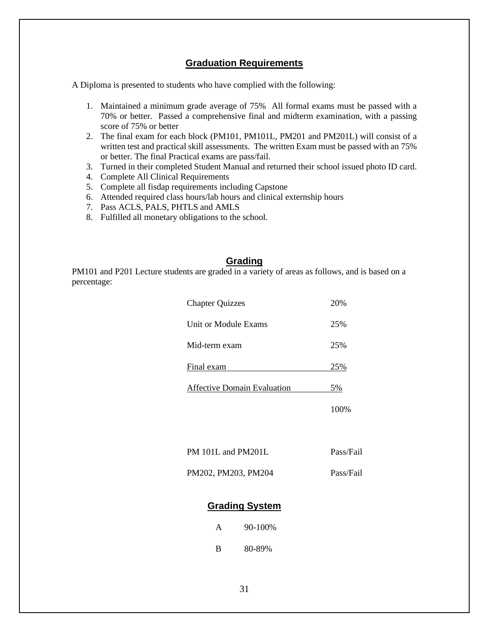## **Graduation Requirements**

A Diploma is presented to students who have complied with the following:

- 1. Maintained a minimum grade average of 75% All formal exams must be passed with a 70% or better. Passed a comprehensive final and midterm examination, with a passing score of 75% or better
- 2. The final exam for each block (PM101, PM101L, PM201 and PM201L) will consist of a written test and practical skill assessments. The written Exam must be passed with an 75% or better. The final Practical exams are pass/fail.
- 3. Turned in their completed Student Manual and returned their school issued photo ID card.
- 4. Complete All Clinical Requirements
- 5. Complete all fisdap requirements including Capstone
- 6. Attended required class hours/lab hours and clinical externship hours
- 7. Pass ACLS, PALS, PHTLS and AMLS
- 8. Fulfilled all monetary obligations to the school.

## **Grading**

PM101 and P201 Lecture students are graded in a variety of areas as follows, and is based on a percentage:

| <b>Chapter Quizzes</b>             | 20%       |
|------------------------------------|-----------|
| Unit or Module Exams               | 25%       |
| Mid-term exam                      | 25%       |
| Final exam                         | 25%       |
| <b>Affective Domain Evaluation</b> | 5%        |
|                                    | 100%      |
|                                    |           |
| PM 101L and PM201L                 | Pass/Fail |
| PM202, PM203, PM204                | Pass/Fail |

## **Grading System**

| A | $90 - 100\%$ |
|---|--------------|
| В | 80-89%       |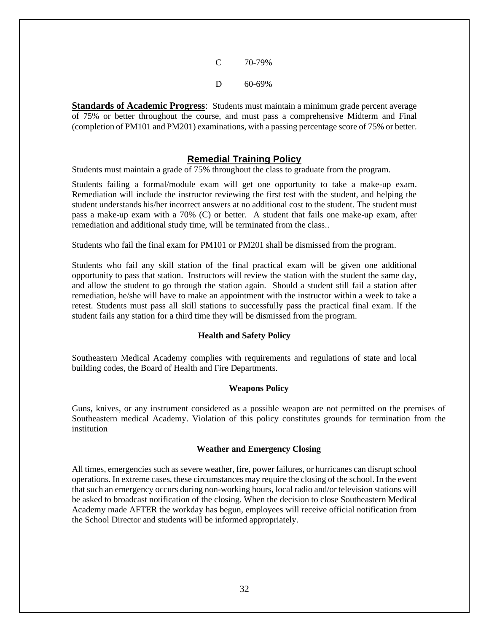| € | 70-79%      |
|---|-------------|
| Ð | $60 - 69\%$ |

**Standards of Academic Progress**: Students must maintain a minimum grade percent average of 75% or better throughout the course, and must pass a comprehensive Midterm and Final (completion of PM101 and PM201) examinations, with a passing percentage score of 75% or better.

## **Remedial Training Policy**

Students must maintain a grade of 75% throughout the class to graduate from the program.

Students failing a formal/module exam will get one opportunity to take a make-up exam. Remediation will include the instructor reviewing the first test with the student, and helping the student understands his/her incorrect answers at no additional cost to the student. The student must pass a make-up exam with a 70% (C) or better. A student that fails one make-up exam, after remediation and additional study time, will be terminated from the class..

Students who fail the final exam for PM101 or PM201 shall be dismissed from the program.

Students who fail any skill station of the final practical exam will be given one additional opportunity to pass that station. Instructors will review the station with the student the same day, and allow the student to go through the station again. Should a student still fail a station after remediation, he/she will have to make an appointment with the instructor within a week to take a retest. Students must pass all skill stations to successfully pass the practical final exam. If the student fails any station for a third time they will be dismissed from the program.

## **Health and Safety Policy**

Southeastern Medical Academy complies with requirements and regulations of state and local building codes, the Board of Health and Fire Departments.

## **Weapons Policy**

Guns, knives, or any instrument considered as a possible weapon are not permitted on the premises of Southeastern medical Academy. Violation of this policy constitutes grounds for termination from the institution

#### **Weather and Emergency Closing**

All times, emergencies such as severe weather, fire, power failures, or hurricanes can disrupt school operations. In extreme cases, these circumstances may require the closing of the school. In the event that such an emergency occurs during non-working hours, local radio and/or television stations will be asked to broadcast notification of the closing. When the decision to close Southeastern Medical Academy made AFTER the workday has begun, employees will receive official notification from the School Director and students will be informed appropriately.